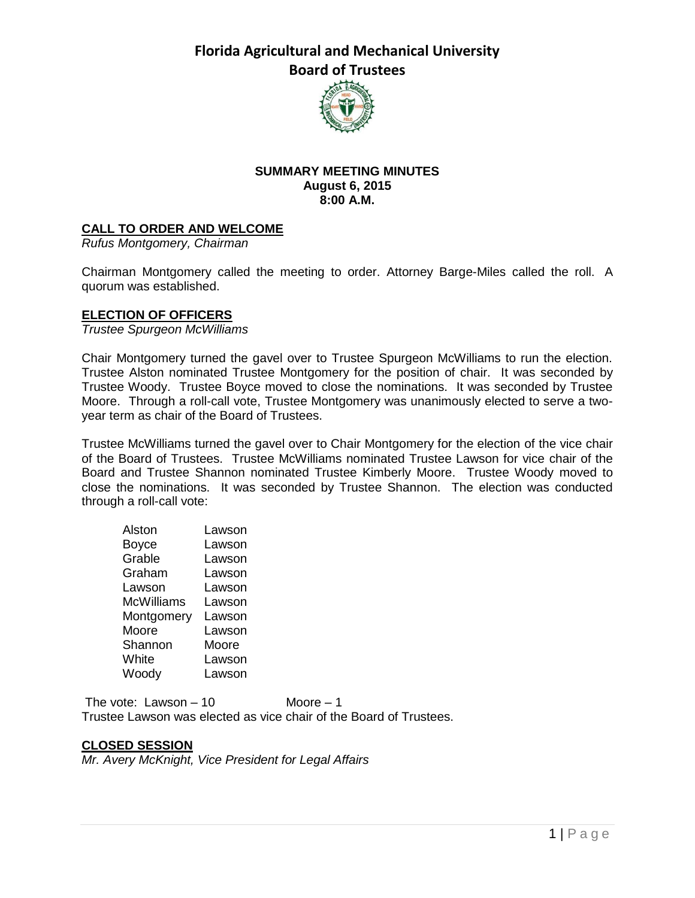

#### **SUMMARY MEETING MINUTES August 6, 2015 8:00 A.M.**

# **CALL TO ORDER AND WELCOME**

*Rufus Montgomery, Chairman*

Chairman Montgomery called the meeting to order. Attorney Barge-Miles called the roll. A quorum was established.

#### **ELECTION OF OFFICERS**

*Trustee Spurgeon McWilliams*

Chair Montgomery turned the gavel over to Trustee Spurgeon McWilliams to run the election. Trustee Alston nominated Trustee Montgomery for the position of chair. It was seconded by Trustee Woody. Trustee Boyce moved to close the nominations. It was seconded by Trustee Moore. Through a roll-call vote, Trustee Montgomery was unanimously elected to serve a twoyear term as chair of the Board of Trustees.

Trustee McWilliams turned the gavel over to Chair Montgomery for the election of the vice chair of the Board of Trustees. Trustee McWilliams nominated Trustee Lawson for vice chair of the Board and Trustee Shannon nominated Trustee Kimberly Moore. Trustee Woody moved to close the nominations. It was seconded by Trustee Shannon. The election was conducted through a roll-call vote:

| Alston            | Lawson |
|-------------------|--------|
| <b>Boyce</b>      | Lawson |
| Grable            | Lawson |
| Graham            | Lawson |
| Lawson            | Lawson |
| <b>McWilliams</b> | Lawson |
| Montgomery        | Lawson |
| Moore             | Lawson |
| Shannon           | Moore  |
| White             | Lawson |
| Woody             | Lawson |

The vote: Lawson  $-10$  Moore  $-1$ Trustee Lawson was elected as vice chair of the Board of Trustees.

#### **CLOSED SESSION**

*Mr. Avery McKnight, Vice President for Legal Affairs*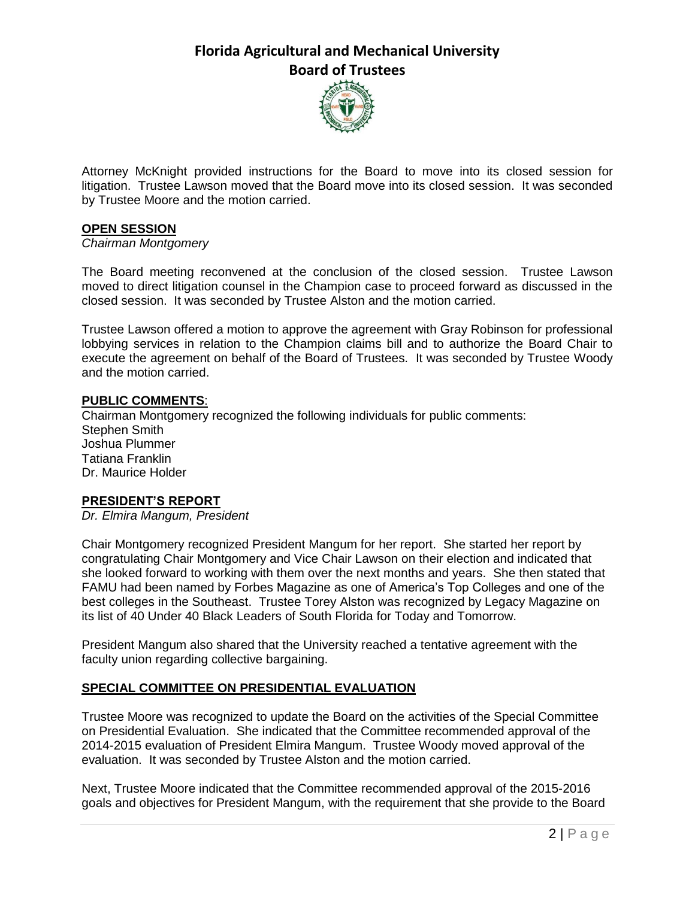

Attorney McKnight provided instructions for the Board to move into its closed session for litigation. Trustee Lawson moved that the Board move into its closed session. It was seconded by Trustee Moore and the motion carried.

# **OPEN SESSION**

#### *Chairman Montgomery*

The Board meeting reconvened at the conclusion of the closed session. Trustee Lawson moved to direct litigation counsel in the Champion case to proceed forward as discussed in the closed session. It was seconded by Trustee Alston and the motion carried.

Trustee Lawson offered a motion to approve the agreement with Gray Robinson for professional lobbying services in relation to the Champion claims bill and to authorize the Board Chair to execute the agreement on behalf of the Board of Trustees. It was seconded by Trustee Woody and the motion carried.

#### **PUBLIC COMMENTS**:

Chairman Montgomery recognized the following individuals for public comments: Stephen Smith Joshua Plummer Tatiana Franklin Dr. Maurice Holder

# **PRESIDENT'S REPORT**

*Dr. Elmira Mangum, President*

Chair Montgomery recognized President Mangum for her report. She started her report by congratulating Chair Montgomery and Vice Chair Lawson on their election and indicated that she looked forward to working with them over the next months and years. She then stated that FAMU had been named by Forbes Magazine as one of America's Top Colleges and one of the best colleges in the Southeast. Trustee Torey Alston was recognized by Legacy Magazine on its list of 40 Under 40 Black Leaders of South Florida for Today and Tomorrow.

President Mangum also shared that the University reached a tentative agreement with the faculty union regarding collective bargaining.

# **SPECIAL COMMITTEE ON PRESIDENTIAL EVALUATION**

Trustee Moore was recognized to update the Board on the activities of the Special Committee on Presidential Evaluation. She indicated that the Committee recommended approval of the 2014-2015 evaluation of President Elmira Mangum. Trustee Woody moved approval of the evaluation. It was seconded by Trustee Alston and the motion carried.

Next, Trustee Moore indicated that the Committee recommended approval of the 2015-2016 goals and objectives for President Mangum, with the requirement that she provide to the Board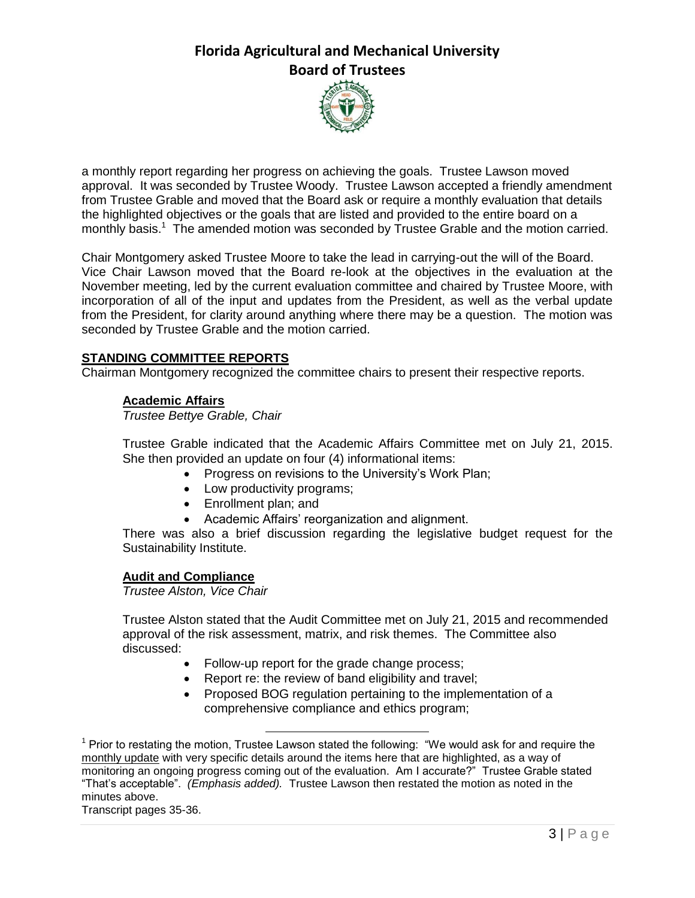

a monthly report regarding her progress on achieving the goals. Trustee Lawson moved approval. It was seconded by Trustee Woody. Trustee Lawson accepted a friendly amendment from Trustee Grable and moved that the Board ask or require a monthly evaluation that details the highlighted objectives or the goals that are listed and provided to the entire board on a monthly basis.<sup>1</sup> The amended motion was seconded by Trustee Grable and the motion carried.

Chair Montgomery asked Trustee Moore to take the lead in carrying-out the will of the Board. Vice Chair Lawson moved that the Board re-look at the objectives in the evaluation at the November meeting, led by the current evaluation committee and chaired by Trustee Moore, with incorporation of all of the input and updates from the President, as well as the verbal update from the President, for clarity around anything where there may be a question. The motion was seconded by Trustee Grable and the motion carried.

# **STANDING COMMITTEE REPORTS**

Chairman Montgomery recognized the committee chairs to present their respective reports.

# **Academic Affairs**

*Trustee Bettye Grable, Chair*

Trustee Grable indicated that the Academic Affairs Committee met on July 21, 2015. She then provided an update on four (4) informational items:

- Progress on revisions to the University's Work Plan;
- Low productivity programs;

l

- Enrollment plan; and
- Academic Affairs' reorganization and alignment.

There was also a brief discussion regarding the legislative budget request for the Sustainability Institute.

# **Audit and Compliance**

*Trustee Alston, Vice Chair*

Trustee Alston stated that the Audit Committee met on July 21, 2015 and recommended approval of the risk assessment, matrix, and risk themes. The Committee also discussed:

- Follow-up report for the grade change process;
- Report re: the review of band eligibility and travel;
- Proposed BOG regulation pertaining to the implementation of a comprehensive compliance and ethics program;

Transcript pages 35-36.

 $1$  Prior to restating the motion, Trustee Lawson stated the following: "We would ask for and require the monthly update with very specific details around the items here that are highlighted, as a way of monitoring an ongoing progress coming out of the evaluation. Am I accurate?" Trustee Grable stated "That's acceptable". *(Emphasis added).* Trustee Lawson then restated the motion as noted in the minutes above.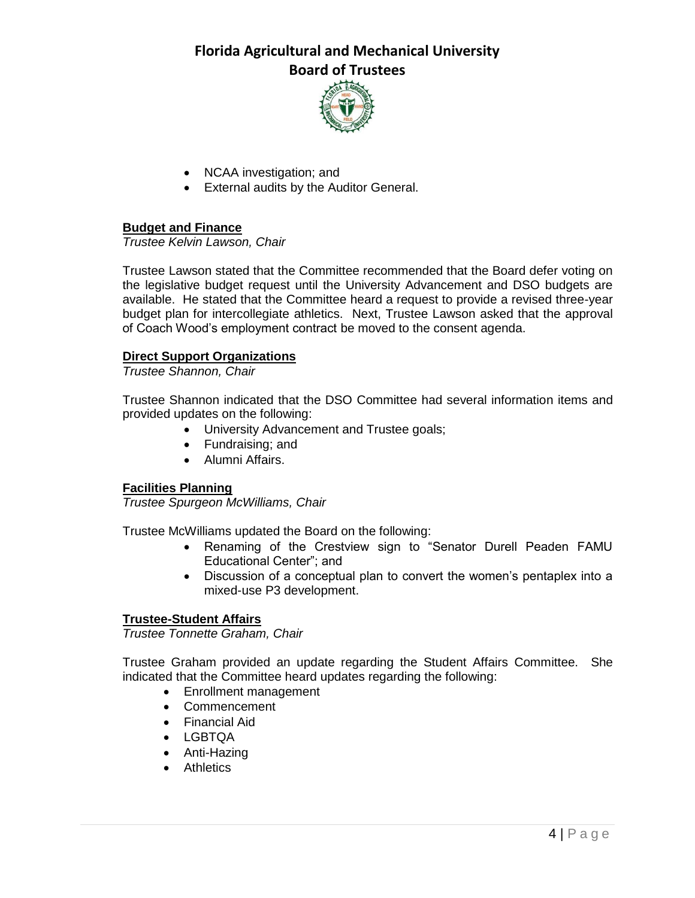

- NCAA investigation; and
- External audits by the Auditor General.

# **Budget and Finance**

*Trustee Kelvin Lawson, Chair*

Trustee Lawson stated that the Committee recommended that the Board defer voting on the legislative budget request until the University Advancement and DSO budgets are available. He stated that the Committee heard a request to provide a revised three-year budget plan for intercollegiate athletics. Next, Trustee Lawson asked that the approval of Coach Wood's employment contract be moved to the consent agenda.

#### **Direct Support Organizations**

*Trustee Shannon, Chair*

Trustee Shannon indicated that the DSO Committee had several information items and provided updates on the following:

- University Advancement and Trustee goals;
- Fundraising; and
- Alumni Affairs.

#### **Facilities Planning**

*Trustee Spurgeon McWilliams, Chair*

Trustee McWilliams updated the Board on the following:

- Renaming of the Crestview sign to "Senator Durell Peaden FAMU Educational Center"; and
- Discussion of a conceptual plan to convert the women's pentaplex into a mixed-use P3 development.

#### **Trustee-Student Affairs**

*Trustee Tonnette Graham, Chair*

Trustee Graham provided an update regarding the Student Affairs Committee. She indicated that the Committee heard updates regarding the following:

- Enrollment management
- Commencement
- Financial Aid
- LGBTQA
- Anti-Hazing
- Athletics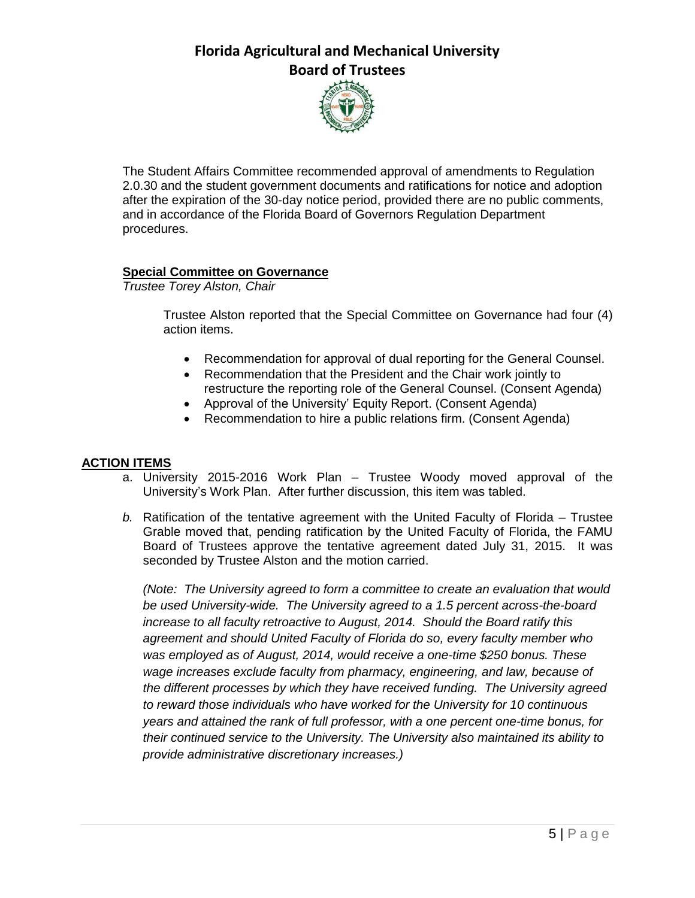

The Student Affairs Committee recommended approval of amendments to Regulation 2.0.30 and the student government documents and ratifications for notice and adoption after the expiration of the 30-day notice period, provided there are no public comments, and in accordance of the Florida Board of Governors Regulation Department procedures.

# **Special Committee on Governance**

*Trustee Torey Alston, Chair*

Trustee Alston reported that the Special Committee on Governance had four (4) action items.

- Recommendation for approval of dual reporting for the General Counsel.
- Recommendation that the President and the Chair work jointly to restructure the reporting role of the General Counsel. (Consent Agenda)
- Approval of the University' Equity Report. (Consent Agenda)
- Recommendation to hire a public relations firm. (Consent Agenda)

# **ACTION ITEMS**

- a. University 2015-2016 Work Plan Trustee Woody moved approval of the University's Work Plan. After further discussion, this item was tabled.
- *b.* Ratification of the tentative agreement with the United Faculty of Florida Trustee Grable moved that, pending ratification by the United Faculty of Florida, the FAMU Board of Trustees approve the tentative agreement dated July 31, 2015. It was seconded by Trustee Alston and the motion carried.

*(Note: The University agreed to form a committee to create an evaluation that would be used University-wide. The University agreed to a 1.5 percent across-the-board increase to all faculty retroactive to August, 2014. Should the Board ratify this agreement and should United Faculty of Florida do so, every faculty member who was employed as of August, 2014, would receive a one-time \$250 bonus. These wage increases exclude faculty from pharmacy, engineering, and law, because of the different processes by which they have received funding. The University agreed to reward those individuals who have worked for the University for 10 continuous years and attained the rank of full professor, with a one percent one-time bonus, for their continued service to the University. The University also maintained its ability to provide administrative discretionary increases.)*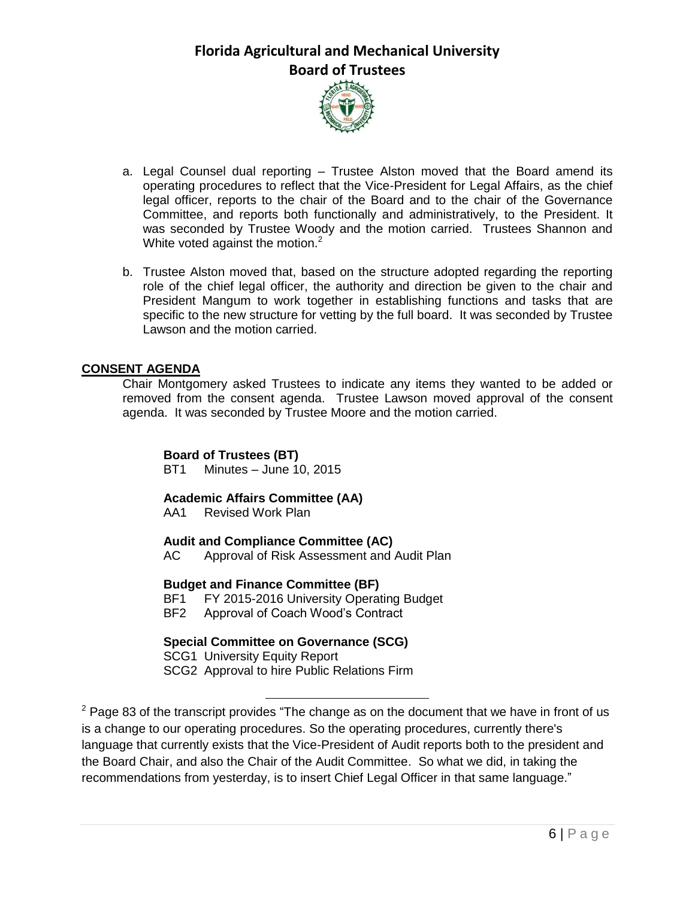

- a. Legal Counsel dual reporting Trustee Alston moved that the Board amend its operating procedures to reflect that the Vice-President for Legal Affairs, as the chief legal officer, reports to the chair of the Board and to the chair of the Governance Committee, and reports both functionally and administratively, to the President. It was seconded by Trustee Woody and the motion carried. Trustees Shannon and White voted against the motion.<sup>2</sup>
- b. Trustee Alston moved that, based on the structure adopted regarding the reporting role of the chief legal officer, the authority and direction be given to the chair and President Mangum to work together in establishing functions and tasks that are specific to the new structure for vetting by the full board. It was seconded by Trustee Lawson and the motion carried.

# **CONSENT AGENDA**

Chair Montgomery asked Trustees to indicate any items they wanted to be added or removed from the consent agenda. Trustee Lawson moved approval of the consent agenda. It was seconded by Trustee Moore and the motion carried.

### **Board of Trustees (BT)**

BT1 Minutes – June 10, 2015

# **Academic Affairs Committee (AA)**

AA1 Revised Work Plan

# **Audit and Compliance Committee (AC)**

AC Approval of Risk Assessment and Audit Plan

# **Budget and Finance Committee (BF)**<br>BF1 FY 2015-2016 University Operat

FY 2015-2016 University Operating Budget BF2 Approval of Coach Wood's Contract

# **Special Committee on Governance (SCG)**

SCG1 University Equity Report

l

SCG2 Approval to hire Public Relations Firm

 $2$  Page 83 of the transcript provides "The change as on the document that we have in front of us is a change to our operating procedures. So the operating procedures, currently there's language that currently exists that the Vice-President of Audit reports both to the president and the Board Chair, and also the Chair of the Audit Committee. So what we did, in taking the recommendations from yesterday, is to insert Chief Legal Officer in that same language."